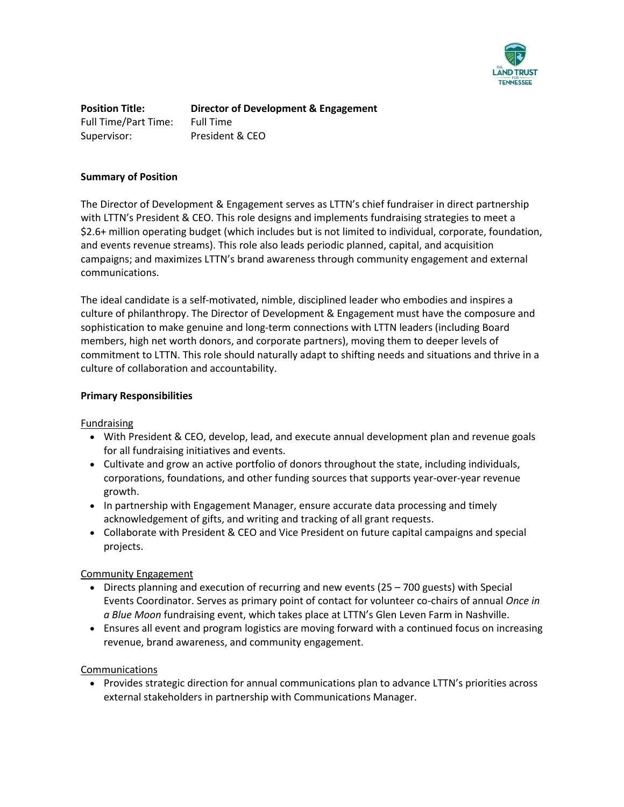

**Position Title: Director of Development & Engagement** Full Time/Part Time: Full Time Supervisor: President & CEO

#### **Summary of Position**

The Director of Development & Engagement serves as LTTN's chief fundraiser in direct partnership with LTTN's President & CEO. This role designs and implements fundraising strategies to meet a \$2.6+ million operating budget (which includes but is not limited to individual, corporate, foundation, and events revenue streams). This role also leads periodic planned, capital, and acquisition campaigns; and maximizes LTTN's brand awareness through community engagement and external communications.

The ideal candidate is a self-motivated, nimble, disciplined leader who embodies and inspires a culture of philanthropy. The Director of Development & Engagement must have the composure and sophistication to make genuine and long-term connections with LTTN leaders (including Board members, high net worth donors, and corporate partners), moving them to deeper levels of commitment to LTTN. This role should naturally adapt to shifting needs and situations and thrive in a culture of collaboration and accountability.

### **Primary Responsibilities**

Fundraising

- With President & CEO, develop, lead, and execute annual development plan and revenue goals for all fundraising initiatives and events.
- Cultivate and grow an active portfolio of donors throughout the state, including individuals, corporations, foundations, and other funding sources that supports year-over-year revenue growth.
- In partnership with Engagement Manager, ensure accurate data processing and timely acknowledgement of gifts, and writing and tracking of all grant requests.
- Collaborate with President & CEO and Vice President on future capital campaigns and special projects.

## Community Engagement

- Directs planning and execution of recurring and new events (25 700 guests) with Special Events Coordinator. Serves as primary point of contact for volunteer co-chairs of annual *Once in a Blue Moon* fundraising event, which takes place at LTTN's Glen Leven Farm in Nashville.
- Ensures all event and program logistics are moving forward with a continued focus on increasing revenue, brand awareness, and community engagement.

## Communications

• Provides strategic direction for annual communications plan to advance LTTN's priorities across external stakeholders in partnership with Communications Manager.